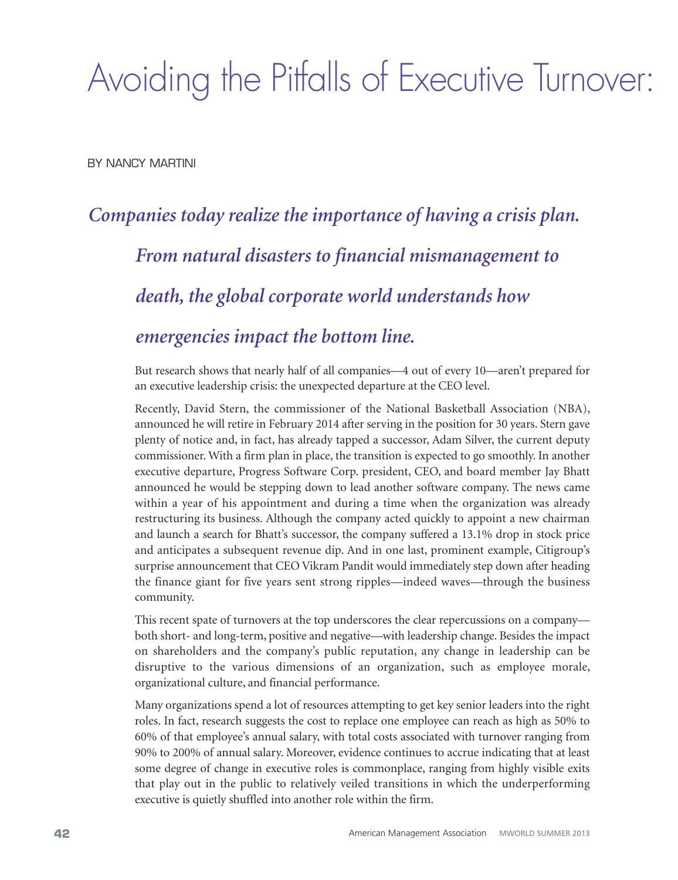# Avoiding the Pitfalls of Executive Turnover:

BY NANCY MARTINI

## *Companies today realize the importance of having a crisis plan. From natural disasters to financial mismanagement to death, the global corporate world understands how emergencies impact the bottom line.*

But research shows that nearly half of all companies—4 out of every 10—aren't prepared for an executive leadership crisis: the unexpected departure at the CEO level.

Recently, David Stern, the commissioner of the National Basketball Association (NBA), announced he will retire in February 2014 after serving in the position for 30 years. Stern gave plenty of notice and, in fact, has already tapped a successor, Adam Silver, the current deputy commissioner. With a firm plan in place, the transition is expected to go smoothly. In another executive departure, Progress Software Corp. president, CEO, and board member Jay Bhatt announced he would be stepping down to lead another software company. The news came within a year of his appointment and during a time when the organization was already restructuring its business. Although the company acted quickly to appoint a new chairman and launch a search for Bhatt's successor, the company suffered a 13.1% drop in stock price and anticipates a subsequent revenue dip. And in one last, prominent example, Citigroup's surprise announcement that CEO Vikram Pandit would immediately step down after heading the finance giant for five years sent strong ripples—indeed waves—through the business community.

This recent spate of turnovers at the top underscores the clear repercussions on a company both short- and long-term, positive and negative—with leadership change. Besides the impact on shareholders and the company's public reputation, any change in leadership can be disruptive to the various dimensions of an organization, such as employee morale, organizational culture, and financial performance.

Many organizations spend a lot of resources attempting to get key senior leaders into the right roles. In fact, research suggests the cost to replace one employee can reach as high as 50% to 60% of that employee's annual salary, with total costs associated with turnover ranging from 90% to 200% of annual salary. Moreover, evidence continues to accrue indicating that at least some degree of change in executive roles is commonplace, ranging from highly visible exits that play out in the public to relatively veiled transitions in which the underperforming executive is quietly shuffled into another role within the firm.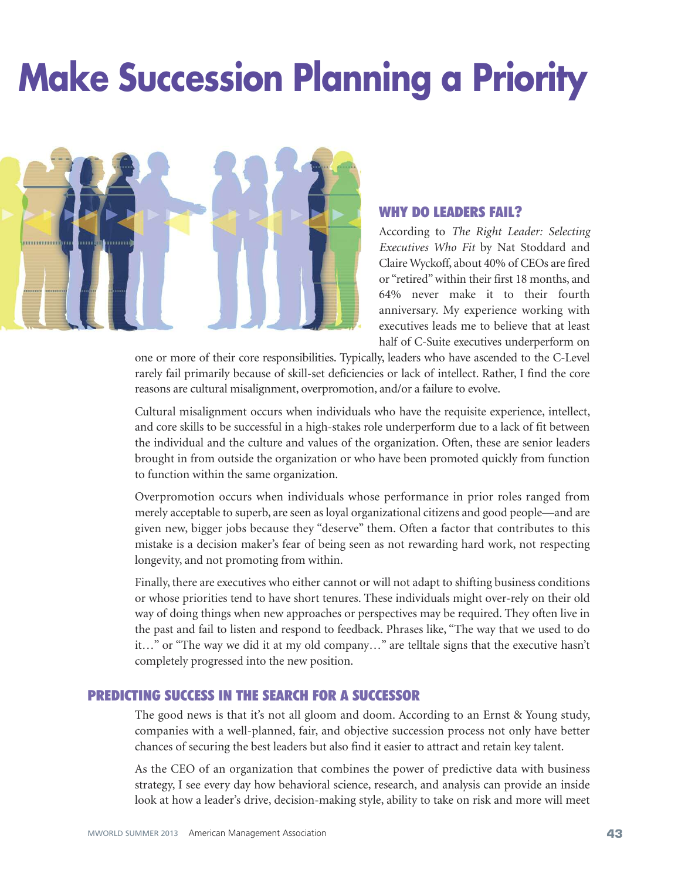# **Make Succession Planning a Priority**



#### **WHY DO LEADERS FAIL?**

According to *The Right Leader: Selecting Executives Who Fit* by Nat Stoddard and Claire Wyckoff, about 40% of CEOs are fired or "retired"within their first 18 months, and 64% never make it to their fourth anniversary. My experience working with executives leads me to believe that at least half of C-Suite executives underperform on

one or more of their core responsibilities. Typically, leaders who have ascended to the C-Level rarely fail primarily because of skill-set deficiencies or lack of intellect. Rather, I find the core reasons are cultural misalignment, overpromotion, and/or a failure to evolve.

Cultural misalignment occurs when individuals who have the requisite experience, intellect, and core skills to be successful in a high-stakes role underperform due to a lack of fit between the individual and the culture and values of the organization. Often, these are senior leaders brought in from outside the organization or who have been promoted quickly from function to function within the same organization.

Overpromotion occurs when individuals whose performance in prior roles ranged from merely acceptable to superb, are seen as loyal organizational citizens and good people—and are given new, bigger jobs because they "deserve" them. Often a factor that contributes to this mistake is a decision maker's fear of being seen as not rewarding hard work, not respecting longevity, and not promoting from within.

Finally, there are executives who either cannot or will not adapt to shifting business conditions or whose priorities tend to have short tenures. These individuals might over-rely on their old way of doing things when new approaches or perspectives may be required. They often live in the past and fail to listen and respond to feedback. Phrases like, "The way that we used to do it…" or "The way we did it at my old company…" are telltale signs that the executive hasn't completely progressed into the new position.

#### **PREDICTING SUCCESS IN THE SEARCH FOR A SUCCESSOR**

The good news is that it's not all gloom and doom. According to an Ernst & Young study, companies with a well-planned, fair, and objective succession process not only have better chances of securing the best leaders but also find it easier to attract and retain key talent.

As the CEO of an organization that combines the power of predictive data with business strategy, I see every day how behavioral science, research, and analysis can provide an inside look at how a leader's drive, decision-making style, ability to take on risk and more will meet